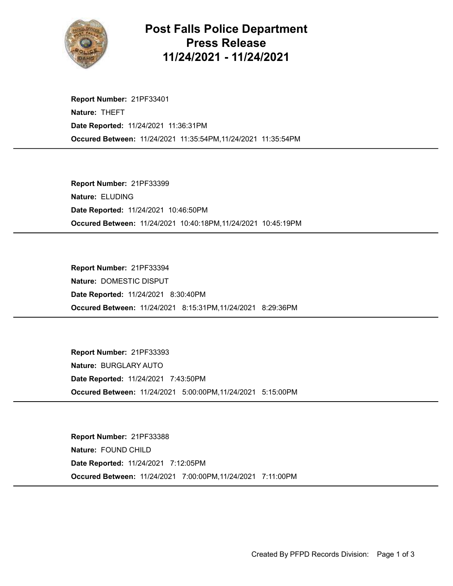

## Post Falls Police Department Press Release 11/24/2021 - 11/24/2021

Occured Between: 11/24/2021 11:35:54PM,11/24/2021 11:35:54PM Report Number: 21PF33401 Nature: THEFT Date Reported: 11/24/2021 11:36:31PM

Occured Between: 11/24/2021 10:40:18PM,11/24/2021 10:45:19PM Report Number: 21PF33399 Nature: ELUDING Date Reported: 11/24/2021 10:46:50PM

Occured Between: 11/24/2021 8:15:31PM,11/24/2021 8:29:36PM Report Number: 21PF33394 Nature: DOMESTIC DISPUT Date Reported: 11/24/2021 8:30:40PM

Occured Between: 11/24/2021 5:00:00PM,11/24/2021 5:15:00PM Report Number: 21PF33393 Nature: BURGLARY AUTO Date Reported: 11/24/2021 7:43:50PM

Occured Between: 11/24/2021 7:00:00PM,11/24/2021 7:11:00PM Report Number: 21PF33388 Nature: FOUND CHILD Date Reported: 11/24/2021 7:12:05PM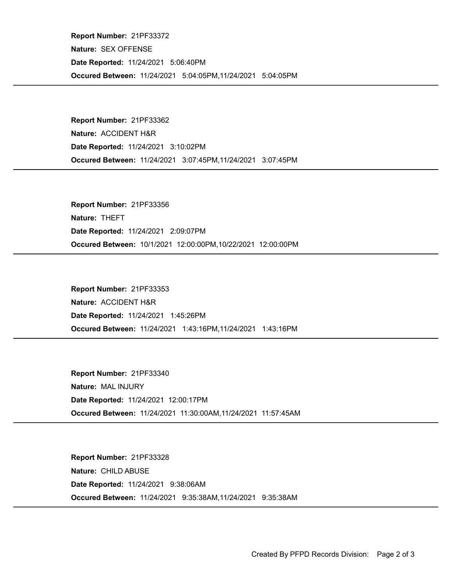Occured Between: 11/24/2021 5:04:05PM,11/24/2021 5:04:05PM Report Number: 21PF33372 Nature: SEX OFFENSE Date Reported: 11/24/2021 5:06:40PM

Occured Between: 11/24/2021 3:07:45PM,11/24/2021 3:07:45PM Report Number: 21PF33362 Nature: ACCIDENT H&R Date Reported: 11/24/2021 3:10:02PM

Occured Between: 10/1/2021 12:00:00PM,10/22/2021 12:00:00PM Report Number: 21PF33356 Nature: THEFT Date Reported: 11/24/2021 2:09:07PM

Occured Between: 11/24/2021 1:43:16PM,11/24/2021 1:43:16PM Report Number: 21PF33353 Nature: ACCIDENT H&R Date Reported: 11/24/2021 1:45:26PM

Occured Between: 11/24/2021 11:30:00AM,11/24/2021 11:57:45AM Report Number: 21PF33340 Nature: MAL INJURY Date Reported: 11/24/2021 12:00:17PM

Occured Between: 11/24/2021 9:35:38AM,11/24/2021 9:35:38AM Report Number: 21PF33328 Nature: CHILD ABUSE Date Reported: 11/24/2021 9:38:06AM